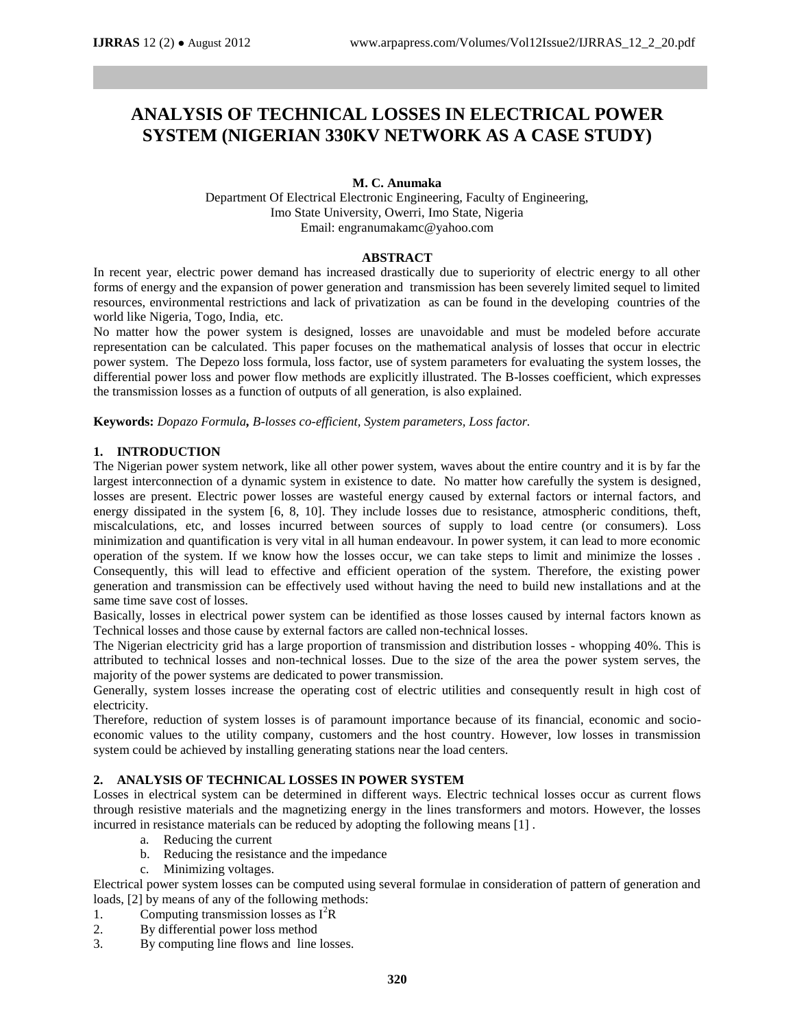# **ANALYSIS OF TECHNICAL LOSSES IN ELECTRICAL POWER SYSTEM (NIGERIAN 330KV NETWORK AS A CASE STUDY)**

# **M. C. Anumaka**

Department Of Electrical Electronic Engineering, Faculty of Engineering, Imo State University, Owerri, Imo State, Nigeria Email: engranumakamc@yahoo.com

# **ABSTRACT**

In recent year, electric power demand has increased drastically due to superiority of electric energy to all other forms of energy and the expansion of power generation and transmission has been severely limited sequel to limited resources, environmental restrictions and lack of privatization as can be found in the developing countries of the world like Nigeria, Togo, India, etc.

No matter how the power system is designed, losses are unavoidable and must be modeled before accurate representation can be calculated. This paper focuses on the mathematical analysis of losses that occur in electric power system. The Depezo loss formula, loss factor, use of system parameters for evaluating the system losses, the differential power loss and power flow methods are explicitly illustrated. The B-losses coefficient, which expresses the transmission losses as a function of outputs of all generation, is also explained.

**Keywords:** *Dopazo Formula, B-losses co-efficient, System parameters, Loss factor.*

# **1. INTRODUCTION**

The Nigerian power system network, like all other power system, waves about the entire country and it is by far the largest interconnection of a dynamic system in existence to date. No matter how carefully the system is designed, losses are present. Electric power losses are wasteful energy caused by external factors or internal factors, and energy dissipated in the system [6, 8, 10]. They include losses due to resistance, atmospheric conditions, theft, miscalculations, etc, and losses incurred between sources of supply to load centre (or consumers). Loss minimization and quantification is very vital in all human endeavour. In power system, it can lead to more economic operation of the system. If we know how the losses occur, we can take steps to limit and minimize the losses . Consequently, this will lead to effective and efficient operation of the system. Therefore, the existing power generation and transmission can be effectively used without having the need to build new installations and at the same time save cost of losses.

Basically, losses in electrical power system can be identified as those losses caused by internal factors known as Technical losses and those cause by external factors are called non-technical losses.

The Nigerian electricity grid has a large proportion of transmission and distribution losses - whopping 40%. This is attributed to technical losses and non-technical losses. Due to the size of the area the power system serves, the majority of the power systems are dedicated to power transmission.

Generally, system losses increase the operating cost of electric utilities and consequently result in high cost of electricity.

Therefore, reduction of system losses is of paramount importance because of its financial, economic and socioeconomic values to the utility company, customers and the host country. However, low losses in transmission system could be achieved by installing generating stations near the load centers.

# **2. ANALYSIS OF TECHNICAL LOSSES IN POWER SYSTEM**

Losses in electrical system can be determined in different ways. Electric technical losses occur as current flows through resistive materials and the magnetizing energy in the lines transformers and motors. However, the losses incurred in resistance materials can be reduced by adopting the following means [1] .

- a. Reducing the current
- b. Reducing the resistance and the impedance
- c. Minimizing voltages.

Electrical power system losses can be computed using several formulae in consideration of pattern of generation and loads, [2] by means of any of the following methods:

- 1. Computing transmission losses as  $I<sup>2</sup>R$
- 2. By differential power loss method
- 3. By computing line flows and line losses.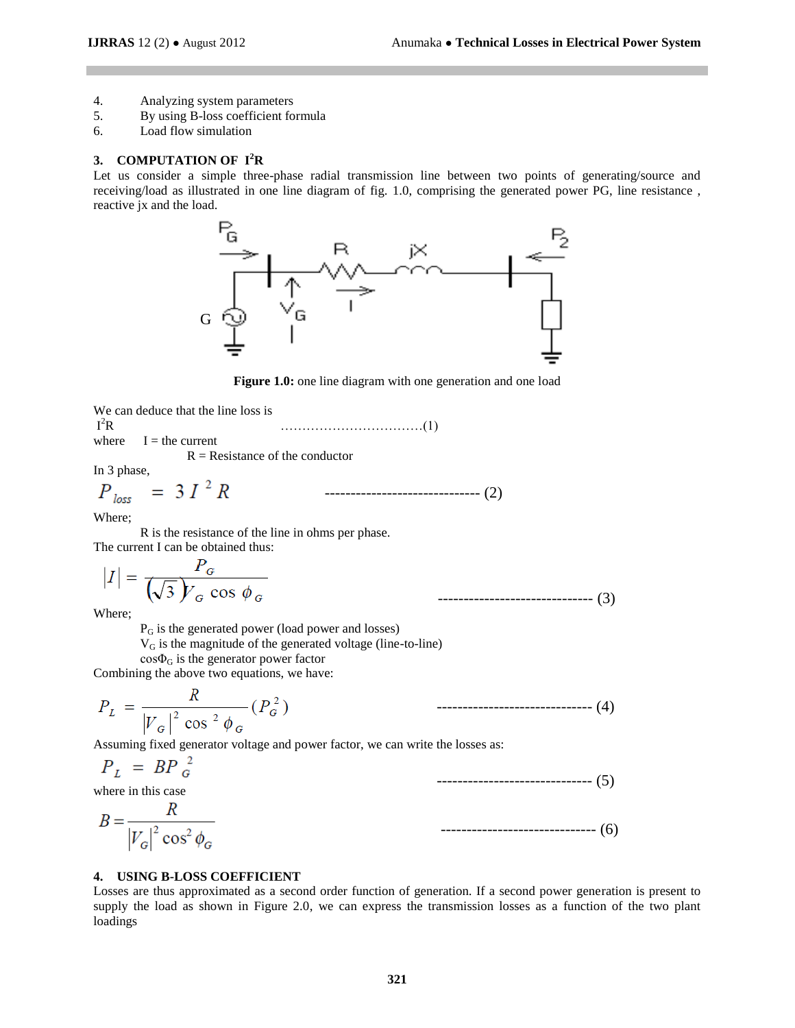------------------------------ (4)

- 4. Analyzing system parameters<br>5. By using B-loss coefficient for
- 5. By using B-loss coefficient formula
- 6. Load flow simulation

### **3. COMPUTATION OF I<sup>2</sup>R**

Let us consider a simple three-phase radial transmission line between two points of generating/source and receiving/load as illustrated in one line diagram of fig. 1.0, comprising the generated power PG, line resistance , reactive jx and the load.



**Figure 1.0:** one line diagram with one generation and one load

------------------------------ (2)

|                                   | We can deduce that the line loss is |  |
|-----------------------------------|-------------------------------------|--|
| $I^2R$                            |                                     |  |
|                                   | where $I =$ the current             |  |
| $R =$ Resistance of the conductor |                                     |  |
| In 3 phase,                       |                                     |  |

 $\overline{D}$ 

$$
P_{loss} = 3 I^2 R
$$

Where;

R is the resistance of the line in ohms per phase.

The current I can be obtained thus:

$$
|I| = \frac{P_G}{(\sqrt{3})Y_G \cos \phi_G}
$$
 (3)

Where;

 $P_G$  is the generated power (load power and losses)

V<sup>G</sup> is the magnitude of the generated voltage (line-to-line)

 $cos\Phi_G$  is the generator power factor

Combining the above two equations, we have:

$$
P_L = \frac{R}{|V_G|^2 \cos^2 \phi_G} (P_G^2)
$$

Assuming fixed generator voltage and power factor, we can write the losses as:

$$
P_L = BP \, g^2 \tag{5}
$$

where in this case

$$
B = \frac{R}{\left|V_G\right|^2 \cos^2 \phi_G} \tag{6}
$$

## **4. USING B-LOSS COEFFICIENT**

Losses are thus approximated as a second order function of generation. If a second power generation is present to supply the load as shown in Figure 2.0, we can express the transmission losses as a function of the two plant loadings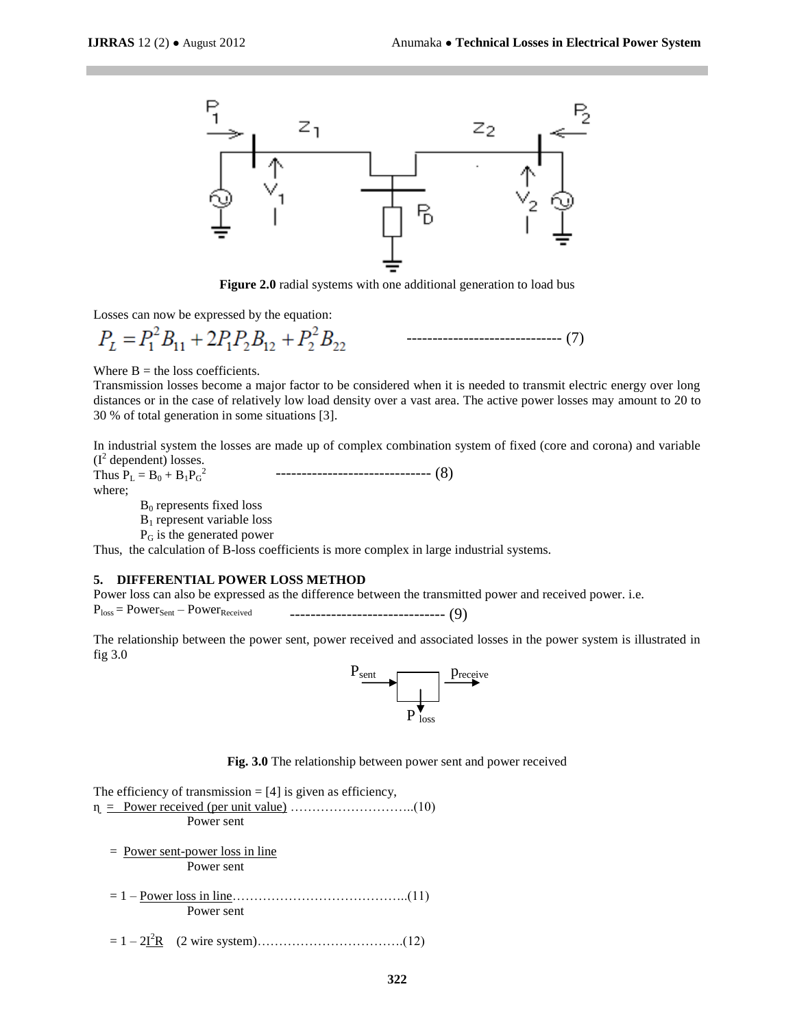

**Figure 2.0** radial systems with one additional generation to load bus

Losses can now be expressed by the equation:

------------------------------ (7)

Where  $B =$  the loss coefficients.

Transmission losses become a major factor to be considered when it is needed to transmit electric energy over long distances or in the case of relatively low load density over a vast area. The active power losses may amount to 20 to 30 % of total generation in some situations [3].

In industrial system the losses are made up of complex combination system of fixed (core and corona) and variable  $(I^2$  dependent) losses.

Thus  $P_{L} = B_0 + B_1 P_{G}^2$ where;  $B_0$  represents fixed loss B<sup>1</sup> represent variable loss ------------------------------ (8)

P<sup>G</sup> is the generated power

Thus, the calculation of B-loss coefficients is more complex in large industrial systems.

## **5. DIFFERENTIAL POWER LOSS METHOD**

Power loss can also be expressed as the difference between the transmitted power and received power. i.e.

```
P_{loss} = Power_{Sent} - Power_{Received}------------------------------ (9)
```
The relationship between the power sent, power received and associated losses in the power system is illustrated in fig 3.0



**Fig. 3.0** The relationship between power sent and power received

The efficiency of transmission  $=[4]$  is given as efficiency, ɳ = Power received (per unit value) ………………………..(10) Power sent

 = Power sent-power loss in line Power sent

- = 1 Power loss in line…………………………………..(11) Power sent
- = 1 2I <sup>2</sup>R (2 wire system)…………………………….(12)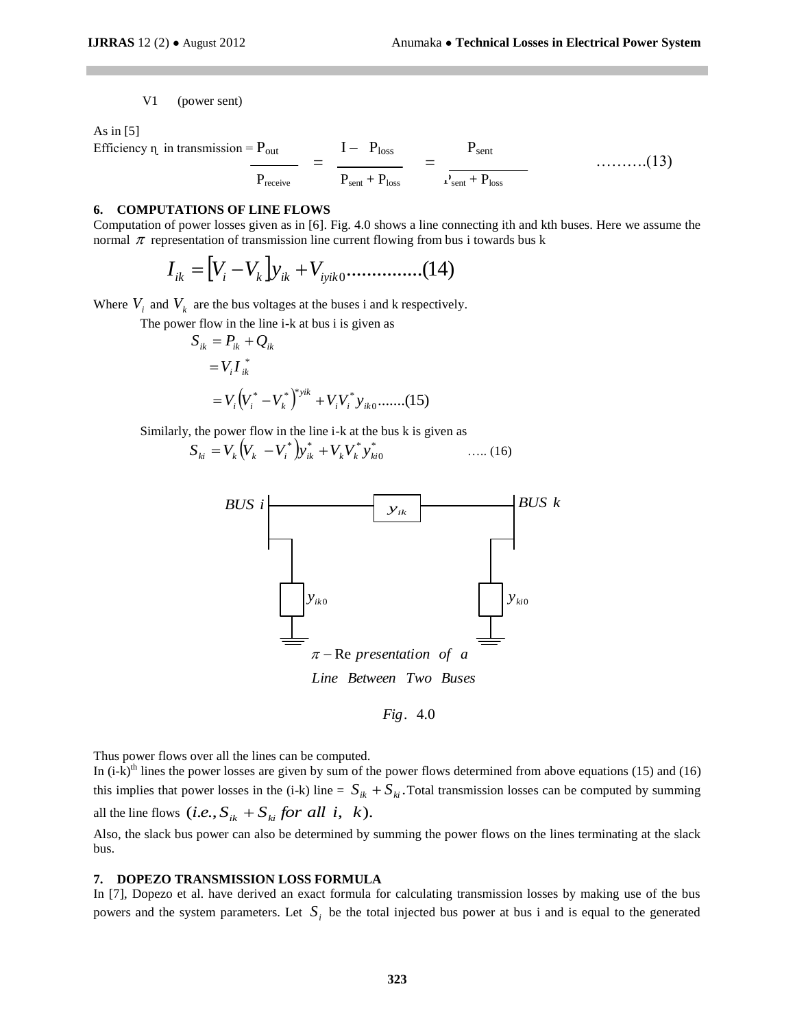V1 (power sent)

As in  $[5]$ 

Efficiency  $\eta$  in transmission =  $P_{\text{out}}$   $I - P_{\text{loss}}$   $P_{\text{sent}}$  $P_{\text{receive}}$   $P_{\text{sent}} + P_{\text{loss}}$   $P_{\text{sent}} + P_{\text{loss}}$  $=$   $\frac{1}{2}$   $=$   $\frac{1}{2}$   $\frac{1}{2}$   $\frac{1}{2}$   $\frac{1}{2}$   $\frac{1}{2}$   $\frac{1}{2}$   $\frac{1}{2}$   $\frac{1}{2}$   $\frac{1}{2}$   $\frac{1}{2}$   $\frac{1}{2}$   $\frac{1}{2}$   $\frac{1}{2}$   $\frac{1}{2}$   $\frac{1}{2}$   $\frac{1}{2}$   $\frac{1}{2}$   $\frac{1}{2}$   $\frac{1}{2}$   $\frac{1}{2}$   $\frac$ 

# **6. COMPUTATIONS OF LINE FLOWS**

Computation of power losses given as in [6]. Fig. 4.0 shows a line connecting ith and kth buses. Here we assume the normal  $\pi$  representation of transmission line current flowing from bus i towards bus k

$$
I_{ik} = [V_i - V_k] y_{ik} + V_{iyik0} \dots \dots \dots \dots (14)
$$

Where  $V_i$  and  $V_k$  are the bus voltages at the buses i and k respectively.

The power flow in the line i-k at bus i is given as

$$
S_{ik} = P_{ik} + Q_{ik}
$$
  
=  $V_i I_{ik}^*$   
=  $V_i (V_i^* - V_k^*)^{*} y^{ik} + V_i V_i^* y_{ik0} \dots (15)$ 

Similarly, the power flow in the line i-k at the bus k is given as

$$
S_{ki} = V_k (V_k - V_i^*) y_{ik}^* + V_k V_k^* y_{ki0}^* \qquad \qquad \dots (16)
$$



. 4.0 *Fig*

Thus power flows over all the lines can be computed.

In  $(i-k)$ <sup>th</sup> lines the power losses are given by sum of the power flows determined from above equations (15) and (16) this implies that power losses in the (i-k) line =  $S_{ik} + S_{ki}$ . Total transmission losses can be computed by summing all the line flows  $(i.e., S_{ik} + S_{ki}$  *for all i*, *k*). Also, the slack bus power can also be determined by summing the power flows on the lines terminating at the slack

#### **7. DOPEZO TRANSMISSION LOSS FORMULA**

bus.

In [7], Dopezo et al. have derived an exact formula for calculating transmission losses by making use of the bus powers and the system parameters. Let  $S_i$  be the total injected bus power at bus i and is equal to the generated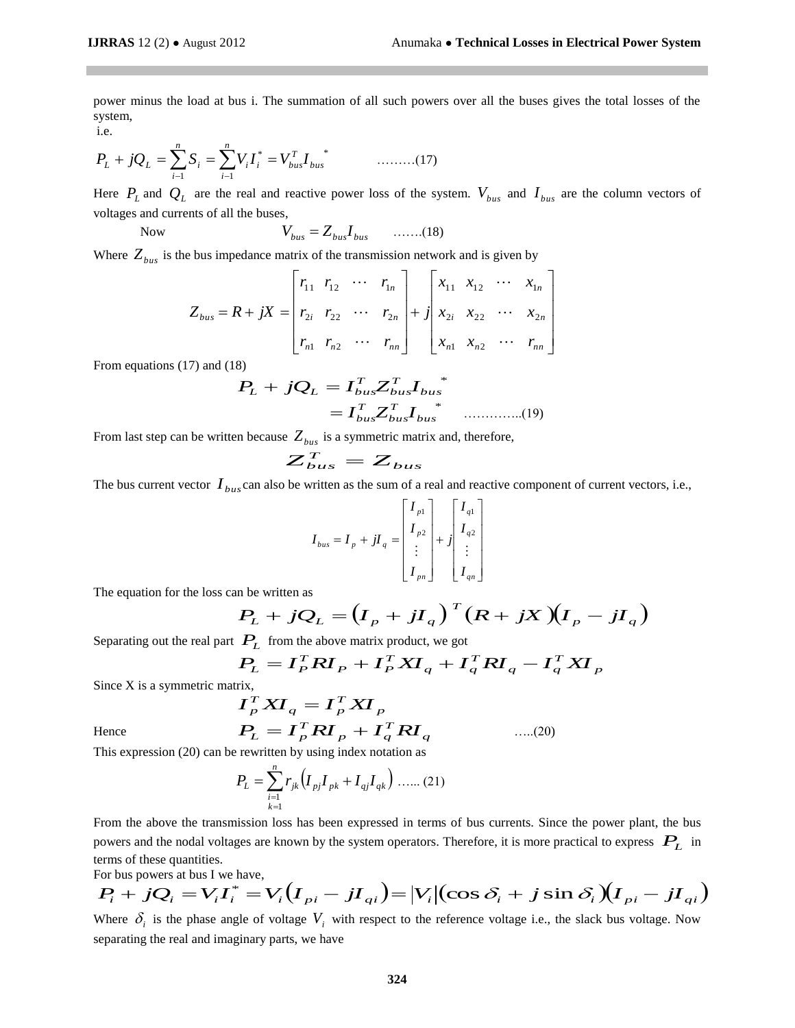power minus the load at bus i. The summation of all such powers over all the buses gives the total losses of the system,

i.e.

$$
P_L + jQ_L = \sum_{i=1}^{n} S_i = \sum_{i=1}^{n} V_i I_i^* = V_{bus}^T I_{bus}^*
$$
 (17)

Here  $P_L$  and  $Q_L$  are the real and reactive power loss of the system.  $V_{bus}$  and  $I_{bus}$  are the column vectors of voltages and currents of all the buses,

Now 
$$
V_{bus} = Z_{bus} I_{bus} \quad \ldots \ldots (18)
$$

Where  $Z_{bus}$  is the bus impedance matrix of the transmission network and is given by

$$
Z_{bus} = R + jX = \begin{bmatrix} r_{11} & r_{12} & \cdots & r_{1n} \\ r_{2i} & r_{22} & \cdots & r_{2n} \\ r_{n1} & r_{n2} & \cdots & r_{nn} \end{bmatrix} + j \begin{bmatrix} x_{11} & x_{12} & \cdots & x_{1n} \\ x_{2i} & x_{22} & \cdots & x_{2n} \\ x_{n1} & x_{n2} & \cdots & r_{nn} \end{bmatrix}
$$

From equations (17) and (18)

$$
P_L + jQ_L = I_{bus}^T Z_{bus}^T I_{bus}
$$
  
=  $I_{bus}^T Z_{bus}^T I_{bus}$  (19)

From last step can be written because  $Z_{bus}$  is a symmetric matrix and, therefore,<br> $Z_{bus}^T = Z_{bus}$ 

$$
Z_{bus}^T = Z_{bus}
$$

The bus current vector  $I_{bus}$  can also be written as the sum of a real and reactive component of current vectors, i.e.,

$$
I_{bus} = I_p + jI_q = \begin{bmatrix} I_{p1} \\ I_{p2} \\ \vdots \\ I_{pn} \end{bmatrix} + j \begin{bmatrix} I_{q1} \\ I_{q2} \\ \vdots \\ I_{qn} \end{bmatrix}
$$

The equation for the loss can be written as

$$
P_L + jQ_L = (I_p + jI_q)^T (R + jX)(I_p - jI_q)
$$

…..(20)

Separating out the real part  $P_L$  from the above matrix product, we got

$$
PL = IPT RIP + IPT XIq + IqT RIq - IqT XIp
$$

Since X is a symmetric matrix,<br> $I_{\mu}^{\mathcal{I}}$ 

$$
I_P^T X I_q = I_P^T X I_p
$$
  

$$
P_L = I_P^T R I_p + I_q^T R I
$$

Hence

Hence 
$$
P_L = I_P^T R I_P + I_q^T R I_q
$$
  
This expression (20) can be rewritten by using index notation as

*n*

$$
P_L = \sum_{\substack{i=1 \ k=1}}^n r_{jk} \left( I_{pj} I_{pk} + I_{qj} I_{qk} \right) \dots (21)
$$

From the above the transmission loss has been expressed in terms of bus currents. Since the power plant, the bus powers and the nodal voltages are known by the system operators. Therefore, it is more practical to express  $P_L$  in terms of these quantities.

For bus powers at bus I we have,

terms of these quantities.  
For bus powers at bus I we have,  

$$
P_i + jQ_i = V_i I_i^* = V_i (I_{pi} - jI_{qi}) = |V_i| (\cos \delta_i + j \sin \delta_i) (I_{pi} - jI_{qi})
$$

Where  $\delta_i$  is the phase angle of voltage  $V_i$  with respect to the reference voltage i.e., the slack bus voltage. Now separating the real and imaginary parts, we have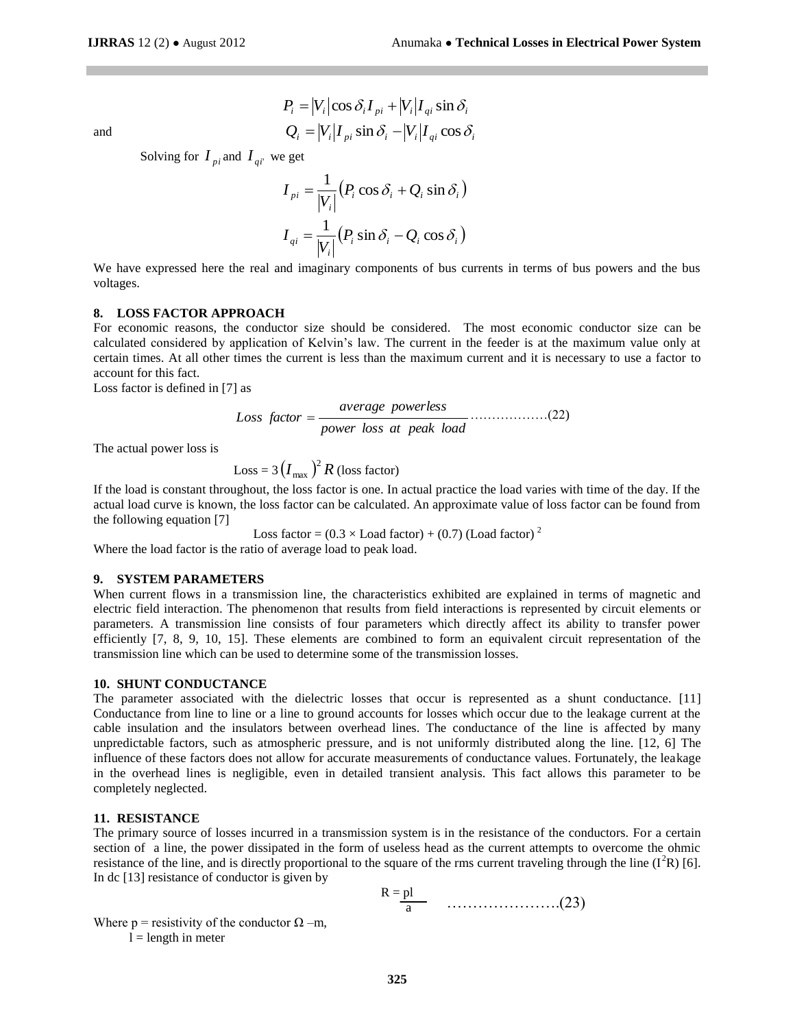and

$$
P_i = |V_i|\cos\delta_i I_{pi} + |V_i|I_{qi}\sin\delta_i
$$
  

$$
Q_i = |V_i|I_{pi}\sin\delta_i - |V_i|I_{qi}\cos\delta_i
$$

Solving for  $I_{pi}$  and  $I_{qi}$  we get

$$
I_{pi} = \frac{1}{|V_i|} (P_i \cos \delta_i + Q_i \sin \delta_i)
$$
  

$$
I_{qi} = \frac{1}{|V_i|} (P_i \sin \delta_i - Q_i \cos \delta_i)
$$

We have expressed here the real and imaginary components of bus currents in terms of bus powers and the bus voltages.

#### **8. LOSS FACTOR APPROACH**

For economic reasons, the conductor size should be considered. The most economic conductor size can be calculated considered by application of Kelvin's law. The current in the feeder is at the maximum value only at certain times. At all other times the current is less than the maximum current and it is necessary to use a factor to account for this fact.

Loss factor is defined in [7] as

Loss factor = 
$$
\frac{\text{average powers}}{\text{power loss at peak load}}
$$
............(22)

The actual power loss is

$$
Loss = 3 (I_{\text{max}})^2 R (loss factor)
$$

If the load is constant throughout, the loss factor is one. In actual practice the load varies with time of the day. If the actual load curve is known, the loss factor can be calculated. An approximate value of loss factor can be found from the following equation [7]

Loss factor =  $(0.3 \times$  Load factor) +  $(0.7)$  (Load factor)<sup>2</sup> Where the load factor is the ratio of average load to peak load.

#### **9. SYSTEM PARAMETERS**

When current flows in a transmission line, the characteristics exhibited are explained in terms of magnetic and electric field interaction. The phenomenon that results from field interactions is represented by circuit elements or parameters. A transmission line consists of four parameters which directly affect its ability to transfer power efficiently [7, 8, 9, 10, 15]. These elements are combined to form an equivalent circuit representation of the transmission line which can be used to determine some of the transmission losses.

#### **10. SHUNT CONDUCTANCE**

The parameter associated with the dielectric losses that occur is represented as a shunt conductance. [11] Conductance from line to line or a line to ground accounts for losses which occur due to the leakage current at the cable insulation and the insulators between overhead lines. The conductance of the line is affected by many unpredictable factors, such as atmospheric pressure, and is not uniformly distributed along the line. [12, 6] The influence of these factors does not allow for accurate measurements of conductance values. Fortunately, the leakage in the overhead lines is negligible, even in detailed transient analysis. This fact allows this parameter to be completely neglected.

#### **11. RESISTANCE**

The primary source of losses incurred in a transmission system is in the resistance of the conductors. For a certain section of a line, the power dissipated in the form of useless head as the current attempts to overcome the ohmic resistance of the line, and is directly proportional to the square of the rms current traveling through the line  $(I<sup>2</sup>R)$  [6]. In dc [13] resistance of conductor is given by

$$
R = \underline{pl}
$$
 (23)

Where  $p =$  resistivity of the conductor  $\Omega$  –m,  $l =$  length in meter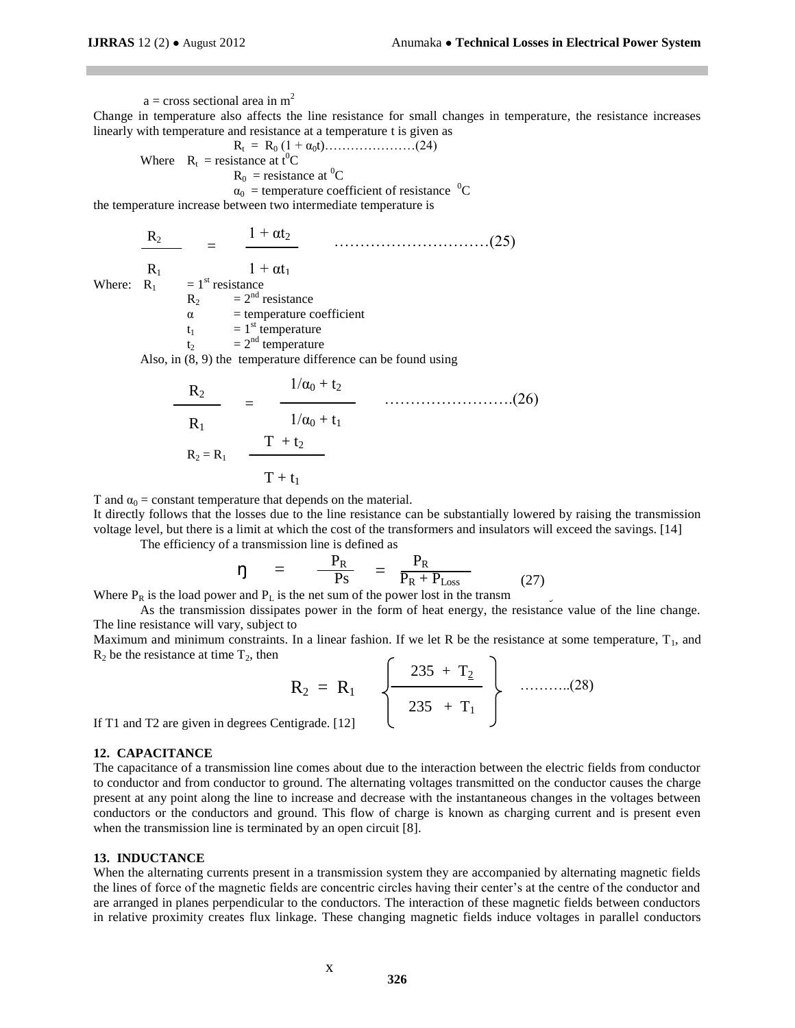$a =$  cross sectional area in m<sup>2</sup> Change in temperature also affects the line resistance for small changes in temperature, the resistance increases linearly with temperature and resistance at a temperature t is given as Rt = R<sup>0</sup> (1 + α0t)…………………(24) Where  $R_t$  = resistance at  $t^0C$  $R_0$  = resistance at <sup>0</sup>C  $\alpha_0$  = temperature coefficient of resistance  ${}^0C$ the temperature increase between two intermediate temperature is  $R_2$  $R_1$ Where:  $R_1 = 1^{st}$  resistance  $1 + \alpha t_2$  $1 + \alpha t_1$  = …………………………(25)

 $R_2$  =  $2^{nd}$  resistance  $\alpha$  = temperature coefficient

$$
t_1 = 1
$$
<sup>st</sup> temperature

 $t_2$  =  $2^{nd}$  temperature

Also, in (8, 9) the temperature difference can be found using

$$
\frac{R_2}{R_1} = \frac{1/\alpha_0 + t_2}{1/\alpha_0 + t_1} \qquad \qquad (26)
$$
  

$$
R_2 = R_1 \frac{T + t_2}{T + t_1}
$$

T and  $\alpha_0$  = constant temperature that depends on the material.

It directly follows that the losses due to the line resistance can be substantially lowered by raising the transmission voltage level, but there is a limit at which the cost of the transformers and insulators will exceed the savings. [14]

The efficiency of a transmission line is defined as

$$
\eta = \frac{P_R}{P_S} = \frac{P_R}{P_R + P_{Loss}}
$$
\n
$$
\text{and } P_{\text{is the net sum of the power lost in the tronom}} \tag{27}
$$

Where  $P_R$  is the load power and  $P_L$  is the net sum of the power lost in the transm

As the transmission dissipates power in the form of heat energy, the resistance value of the line change. The line resistance will vary, subject to

Maximum and minimum constraints. In a linear fashion. If we let R be the resistance at some temperature,  $T_1$ , and  $R_2$  be the resistance at time  $T_2$ , then

$$
R_2 = R_1 \quad \left\{ \frac{235 + T_2}{235 + T_1} \right\} \quad \dots \dots \dots (28)
$$
  
tigrade. [12]

If  $T1$  and  $T2$  are given in degrees Cen

#### **12. CAPACITANCE**

The capacitance of a transmission line comes about due to the interaction between the electric fields from conductor to conductor and from conductor to ground. The alternating voltages transmitted on the conductor causes the charge present at any point along the line to increase and decrease with the instantaneous changes in the voltages between conductors or the conductors and ground. This flow of charge is known as charging current and is present even when the transmission line is terminated by an open circuit [8].

## **13. INDUCTANCE**

When the alternating currents present in a transmission system they are accompanied by alternating magnetic fields the lines of force of the magnetic fields are concentric circles having their center's at the centre of the conductor and are arranged in planes perpendicular to the conductors. The interaction of these magnetic fields between conductors in relative proximity creates flux linkage. These changing magnetic fields induce voltages in parallel conductors

x